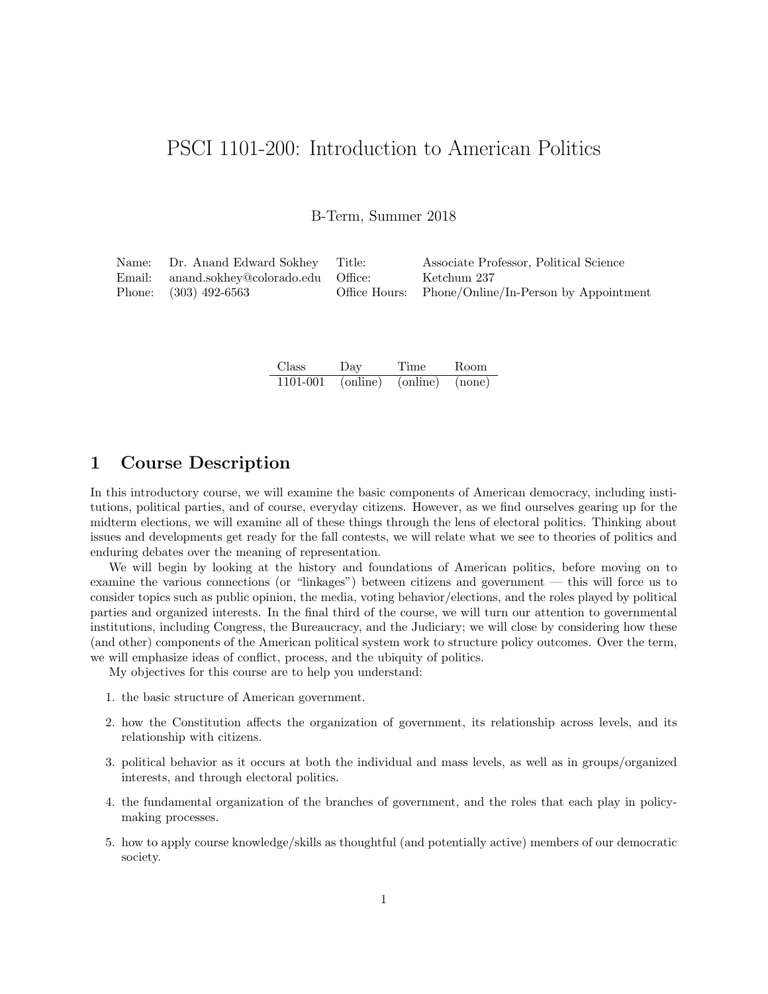# PSCI 1101-200: Introduction to American Politics

B-Term, Summer 2018

| Name: Dr. Anand Edward Sokhey Title:     | Associate Professor, Political Science              |
|------------------------------------------|-----------------------------------------------------|
| Email: anand.sokhey@colorado.edu Office: | Ketchum 237                                         |
| Phone: $(303)$ 492-6563                  | Office Hours: Phone/Online/In-Person by Appointment |

| Class    | Day      | Time     | Room   |
|----------|----------|----------|--------|
| 1101-001 | (online) | (online) | (none) |

# 1 Course Description

In this introductory course, we will examine the basic components of American democracy, including institutions, political parties, and of course, everyday citizens. However, as we find ourselves gearing up for the midterm elections, we will examine all of these things through the lens of electoral politics. Thinking about issues and developments get ready for the fall contests, we will relate what we see to theories of politics and enduring debates over the meaning of representation.

We will begin by looking at the history and foundations of American politics, before moving on to examine the various connections (or "linkages") between citizens and government — this will force us to consider topics such as public opinion, the media, voting behavior/elections, and the roles played by political parties and organized interests. In the final third of the course, we will turn our attention to governmental institutions, including Congress, the Bureaucracy, and the Judiciary; we will close by considering how these (and other) components of the American political system work to structure policy outcomes. Over the term, we will emphasize ideas of conflict, process, and the ubiquity of politics.

My objectives for this course are to help you understand:

- 1. the basic structure of American government.
- 2. how the Constitution affects the organization of government, its relationship across levels, and its relationship with citizens.
- 3. political behavior as it occurs at both the individual and mass levels, as well as in groups/organized interests, and through electoral politics.
- 4. the fundamental organization of the branches of government, and the roles that each play in policymaking processes.
- 5. how to apply course knowledge/skills as thoughtful (and potentially active) members of our democratic society.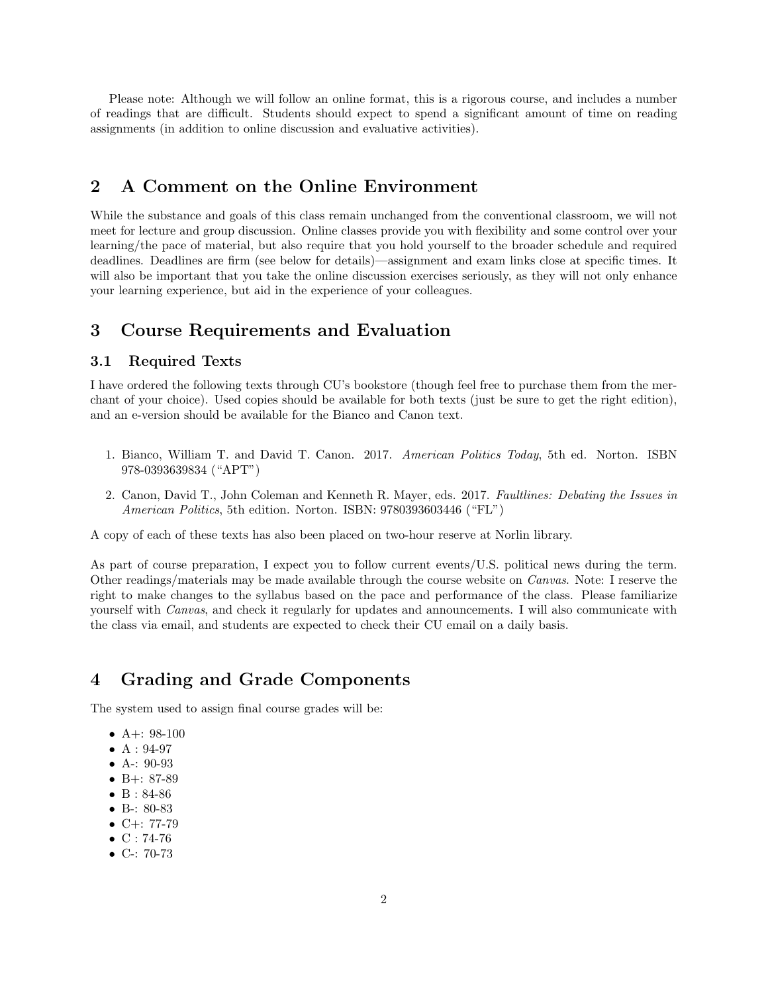Please note: Although we will follow an online format, this is a rigorous course, and includes a number of readings that are difficult. Students should expect to spend a significant amount of time on reading assignments (in addition to online discussion and evaluative activities).

# 2 A Comment on the Online Environment

While the substance and goals of this class remain unchanged from the conventional classroom, we will not meet for lecture and group discussion. Online classes provide you with flexibility and some control over your learning/the pace of material, but also require that you hold yourself to the broader schedule and required deadlines. Deadlines are firm (see below for details)—assignment and exam links close at specific times. It will also be important that you take the online discussion exercises seriously, as they will not only enhance your learning experience, but aid in the experience of your colleagues.

# 3 Course Requirements and Evaluation

### 3.1 Required Texts

I have ordered the following texts through CU's bookstore (though feel free to purchase them from the merchant of your choice). Used copies should be available for both texts (just be sure to get the right edition), and an e-version should be available for the Bianco and Canon text.

- 1. Bianco, William T. and David T. Canon. 2017. American Politics Today, 5th ed. Norton. ISBN 978-0393639834 ("APT")
- 2. Canon, David T., John Coleman and Kenneth R. Mayer, eds. 2017. Faultlines: Debating the Issues in American Politics, 5th edition. Norton. ISBN: 9780393603446 ("FL")

A copy of each of these texts has also been placed on two-hour reserve at Norlin library.

As part of course preparation, I expect you to follow current events/U.S. political news during the term. Other readings/materials may be made available through the course website on Canvas. Note: I reserve the right to make changes to the syllabus based on the pace and performance of the class. Please familiarize yourself with Canvas, and check it regularly for updates and announcements. I will also communicate with the class via email, and students are expected to check their CU email on a daily basis.

# 4 Grading and Grade Components

The system used to assign final course grades will be:

- A+:  $98-100$
- $A: 94-97$
- A-: 90-93
- B+: 87-89
- B: 84-86
- B-: 80-83
- $C+: 77-79$
- $\bullet$  C : 74-76
- C-: 70-73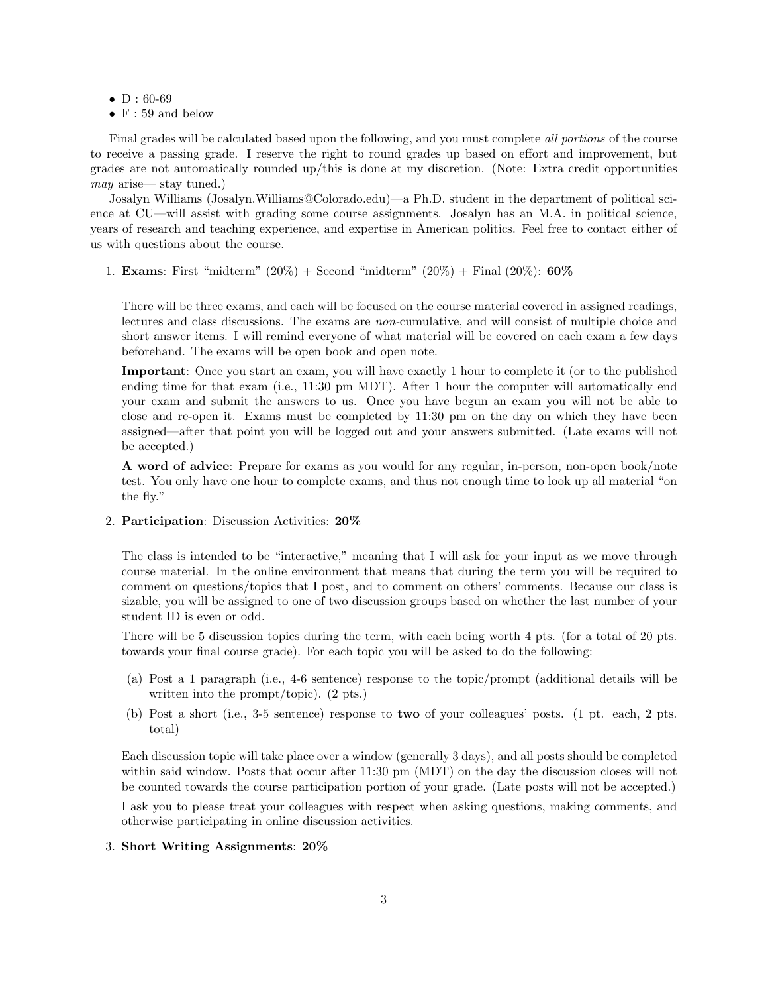- $D: 60-69$
- $F: 59$  and below

Final grades will be calculated based upon the following, and you must complete *all portions* of the course to receive a passing grade. I reserve the right to round grades up based on effort and improvement, but grades are not automatically rounded up/this is done at my discretion. (Note: Extra credit opportunities may arise— stay tuned.)

Josalyn Williams (Josalyn.Williams@Colorado.edu)—a Ph.D. student in the department of political science at CU—will assist with grading some course assignments. Josalyn has an M.A. in political science, years of research and teaching experience, and expertise in American politics. Feel free to contact either of us with questions about the course.

1. **Exams**: First "midterm"  $(20\%)$  + Second "midterm"  $(20\%)$  + Final  $(20\%)$ : **60%** 

There will be three exams, and each will be focused on the course material covered in assigned readings, lectures and class discussions. The exams are non-cumulative, and will consist of multiple choice and short answer items. I will remind everyone of what material will be covered on each exam a few days beforehand. The exams will be open book and open note.

Important: Once you start an exam, you will have exactly 1 hour to complete it (or to the published ending time for that exam (i.e., 11:30 pm MDT). After 1 hour the computer will automatically end your exam and submit the answers to us. Once you have begun an exam you will not be able to close and re-open it. Exams must be completed by 11:30 pm on the day on which they have been assigned—after that point you will be logged out and your answers submitted. (Late exams will not be accepted.)

A word of advice: Prepare for exams as you would for any regular, in-person, non-open book/note test. You only have one hour to complete exams, and thus not enough time to look up all material "on the fly."

2. Participation: Discussion Activities: 20%

The class is intended to be "interactive," meaning that I will ask for your input as we move through course material. In the online environment that means that during the term you will be required to comment on questions/topics that I post, and to comment on others' comments. Because our class is sizable, you will be assigned to one of two discussion groups based on whether the last number of your student ID is even or odd.

There will be 5 discussion topics during the term, with each being worth 4 pts. (for a total of 20 pts. towards your final course grade). For each topic you will be asked to do the following:

- (a) Post a 1 paragraph (i.e., 4-6 sentence) response to the topic/prompt (additional details will be written into the prompt/topic). (2 pts.)
- (b) Post a short (i.e., 3-5 sentence) response to two of your colleagues' posts. (1 pt. each, 2 pts. total)

Each discussion topic will take place over a window (generally 3 days), and all posts should be completed within said window. Posts that occur after 11:30 pm (MDT) on the day the discussion closes will not be counted towards the course participation portion of your grade. (Late posts will not be accepted.)

I ask you to please treat your colleagues with respect when asking questions, making comments, and otherwise participating in online discussion activities.

#### 3. Short Writing Assignments: 20%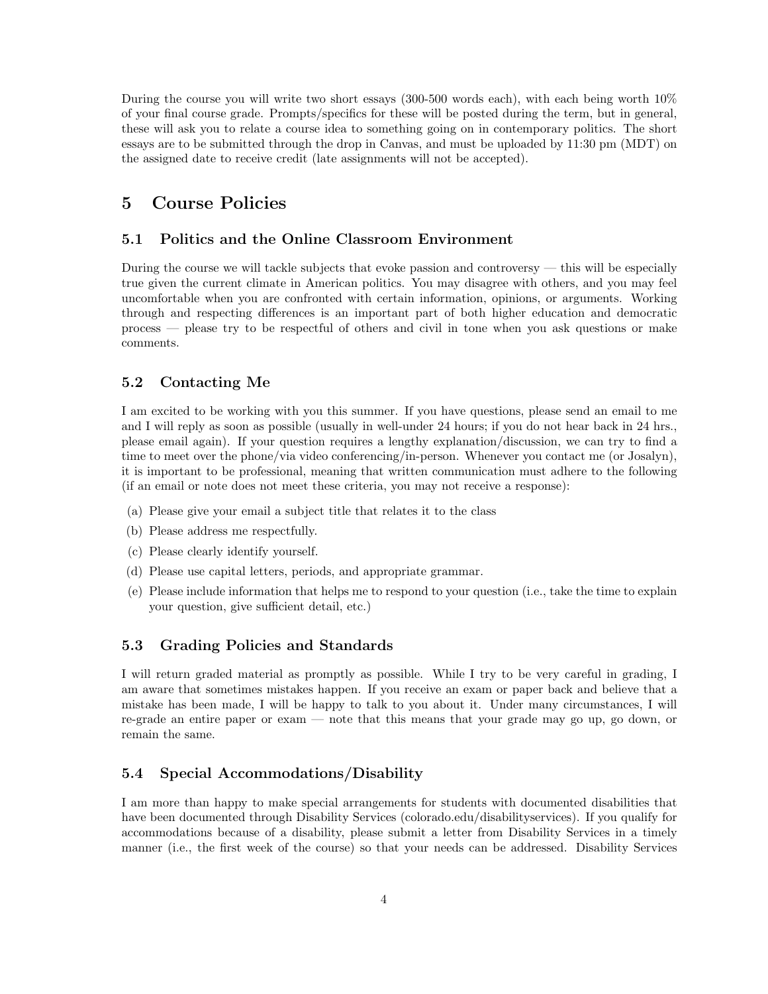During the course you will write two short essays (300-500 words each), with each being worth 10% of your final course grade. Prompts/specifics for these will be posted during the term, but in general, these will ask you to relate a course idea to something going on in contemporary politics. The short essays are to be submitted through the drop in Canvas, and must be uploaded by 11:30 pm (MDT) on the assigned date to receive credit (late assignments will not be accepted).

## 5 Course Policies

### 5.1 Politics and the Online Classroom Environment

During the course we will tackle subjects that evoke passion and controversy — this will be especially true given the current climate in American politics. You may disagree with others, and you may feel uncomfortable when you are confronted with certain information, opinions, or arguments. Working through and respecting differences is an important part of both higher education and democratic process — please try to be respectful of others and civil in tone when you ask questions or make comments.

### 5.2 Contacting Me

I am excited to be working with you this summer. If you have questions, please send an email to me and I will reply as soon as possible (usually in well-under 24 hours; if you do not hear back in 24 hrs., please email again). If your question requires a lengthy explanation/discussion, we can try to find a time to meet over the phone/via video conferencing/in-person. Whenever you contact me (or Josalyn), it is important to be professional, meaning that written communication must adhere to the following (if an email or note does not meet these criteria, you may not receive a response):

- (a) Please give your email a subject title that relates it to the class
- (b) Please address me respectfully.
- (c) Please clearly identify yourself.
- (d) Please use capital letters, periods, and appropriate grammar.
- (e) Please include information that helps me to respond to your question (i.e., take the time to explain your question, give sufficient detail, etc.)

### 5.3 Grading Policies and Standards

I will return graded material as promptly as possible. While I try to be very careful in grading, I am aware that sometimes mistakes happen. If you receive an exam or paper back and believe that a mistake has been made, I will be happy to talk to you about it. Under many circumstances, I will re-grade an entire paper or exam — note that this means that your grade may go up, go down, or remain the same.

## 5.4 Special Accommodations/Disability

I am more than happy to make special arrangements for students with documented disabilities that have been documented through Disability Services (colorado.edu/disabilityservices). If you qualify for accommodations because of a disability, please submit a letter from Disability Services in a timely manner (i.e., the first week of the course) so that your needs can be addressed. Disability Services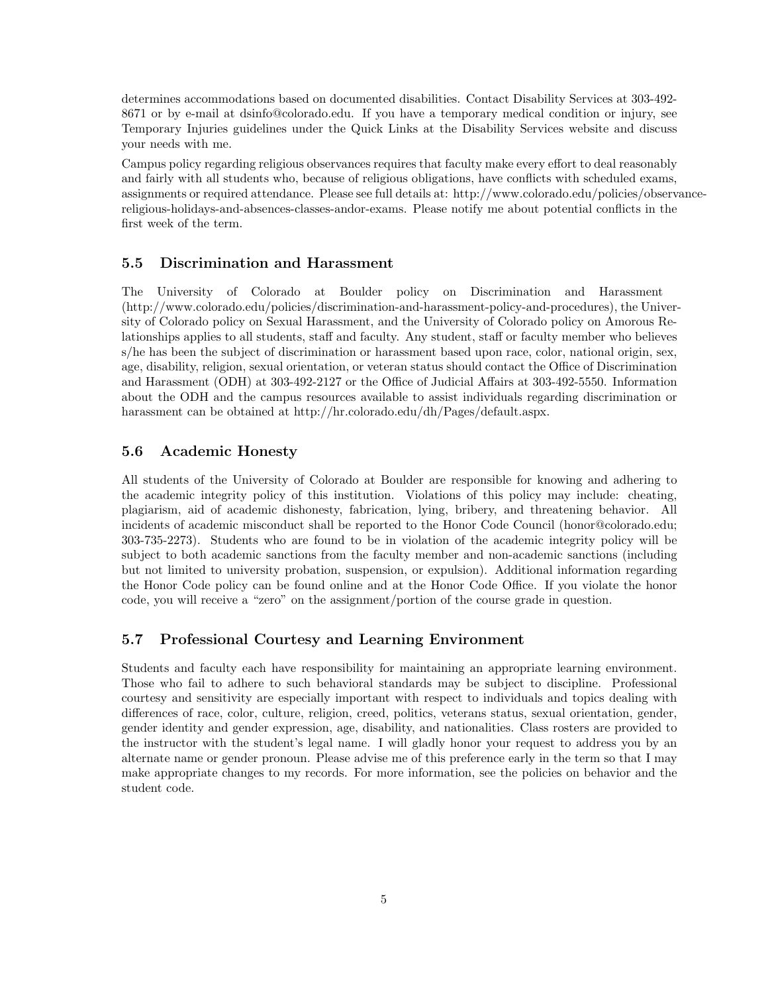determines accommodations based on documented disabilities. Contact Disability Services at 303-492- 8671 or by e-mail at dsinfo@colorado.edu. If you have a temporary medical condition or injury, see Temporary Injuries guidelines under the Quick Links at the Disability Services website and discuss your needs with me.

Campus policy regarding religious observances requires that faculty make every effort to deal reasonably and fairly with all students who, because of religious obligations, have conflicts with scheduled exams, assignments or required attendance. Please see full details at: http://www.colorado.edu/policies/observancereligious-holidays-and-absences-classes-andor-exams. Please notify me about potential conflicts in the first week of the term.

#### 5.5 Discrimination and Harassment

The University of Colorado at Boulder policy on Discrimination and Harassment (http://www.colorado.edu/policies/discrimination-and-harassment-policy-and-procedures), the University of Colorado policy on Sexual Harassment, and the University of Colorado policy on Amorous Relationships applies to all students, staff and faculty. Any student, staff or faculty member who believes s/he has been the subject of discrimination or harassment based upon race, color, national origin, sex, age, disability, religion, sexual orientation, or veteran status should contact the Office of Discrimination and Harassment (ODH) at 303-492-2127 or the Office of Judicial Affairs at 303-492-5550. Information about the ODH and the campus resources available to assist individuals regarding discrimination or harassment can be obtained at http://hr.colorado.edu/dh/Pages/default.aspx.

### 5.6 Academic Honesty

All students of the University of Colorado at Boulder are responsible for knowing and adhering to the academic integrity policy of this institution. Violations of this policy may include: cheating, plagiarism, aid of academic dishonesty, fabrication, lying, bribery, and threatening behavior. All incidents of academic misconduct shall be reported to the Honor Code Council (honor@colorado.edu; 303-735-2273). Students who are found to be in violation of the academic integrity policy will be subject to both academic sanctions from the faculty member and non-academic sanctions (including but not limited to university probation, suspension, or expulsion). Additional information regarding the Honor Code policy can be found online and at the Honor Code Office. If you violate the honor code, you will receive a "zero" on the assignment/portion of the course grade in question.

#### 5.7 Professional Courtesy and Learning Environment

Students and faculty each have responsibility for maintaining an appropriate learning environment. Those who fail to adhere to such behavioral standards may be subject to discipline. Professional courtesy and sensitivity are especially important with respect to individuals and topics dealing with differences of race, color, culture, religion, creed, politics, veterans status, sexual orientation, gender, gender identity and gender expression, age, disability, and nationalities. Class rosters are provided to the instructor with the student's legal name. I will gladly honor your request to address you by an alternate name or gender pronoun. Please advise me of this preference early in the term so that I may make appropriate changes to my records. For more information, see the policies on behavior and the student code.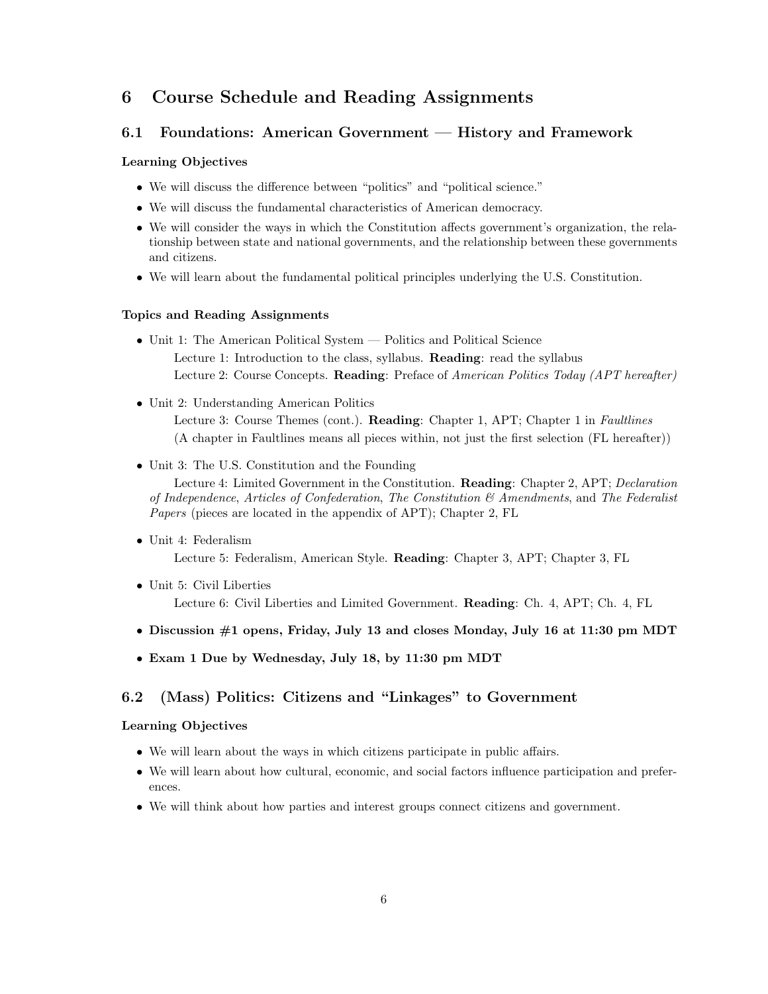# 6 Course Schedule and Reading Assignments

### 6.1 Foundations: American Government — History and Framework

#### Learning Objectives

- We will discuss the difference between "politics" and "political science."
- We will discuss the fundamental characteristics of American democracy.
- We will consider the ways in which the Constitution affects government's organization, the relationship between state and national governments, and the relationship between these governments and citizens.
- We will learn about the fundamental political principles underlying the U.S. Constitution.

#### Topics and Reading Assignments

- Unit 1: The American Political System Politics and Political Science Lecture 1: Introduction to the class, syllabus. Reading: read the syllabus Lecture 2: Course Concepts. Reading: Preface of American Politics Today (APT hereafter)
- Unit 2: Understanding American Politics Lecture 3: Course Themes (cont.). Reading: Chapter 1, APT; Chapter 1 in Faultlines (A chapter in Faultlines means all pieces within, not just the first selection (FL hereafter))
- Unit 3: The U.S. Constitution and the Founding

Lecture 4: Limited Government in the Constitution. Reading: Chapter 2, APT; Declaration of Independence, Articles of Confederation, The Constitution  $\mathcal{B}$  Amendments, and The Federalist Papers (pieces are located in the appendix of APT); Chapter 2, FL

- Unit 4: Federalism Lecture 5: Federalism, American Style. Reading: Chapter 3, APT; Chapter 3, FL
- Unit 5: Civil Liberties Lecture 6: Civil Liberties and Limited Government. Reading: Ch. 4, APT; Ch. 4, FL
- Discussion #1 opens, Friday, July 13 and closes Monday, July 16 at 11:30 pm MDT
- Exam 1 Due by Wednesday, July 18, by 11:30 pm MDT

## 6.2 (Mass) Politics: Citizens and "Linkages" to Government

#### Learning Objectives

- We will learn about the ways in which citizens participate in public affairs.
- We will learn about how cultural, economic, and social factors influence participation and preferences.
- We will think about how parties and interest groups connect citizens and government.